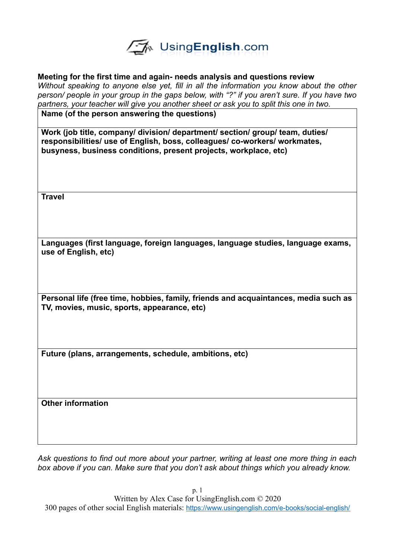

### **Meeting for the first time and again- needs analysis and questions review**

*Without speaking to anyone else yet, fill in all the information you know about the other person/ people in your group in the gaps below, with "?" if you aren't sure. If you have two partners, your teacher will give you another sheet or ask you to split this one in two.* 

**Name (of the person answering the questions)**

**Work (job title, company/ division/ department/ section/ group/ team, duties/ responsibilities/ use of English, boss, colleagues/ co-workers/ workmates, busyness, business conditions, present projects, workplace, etc)**

**Travel**

**Languages (first language, foreign languages, language studies, language exams, use of English, etc)**

**Personal life (free time, hobbies, family, friends and acquaintances, media such as TV, movies, music, sports, appearance, etc)**

**Future (plans, arrangements, schedule, ambitions, etc)**

**Other information**

*Ask questions to find out more about your partner, writing at least one more thing in each box above if you can. Make sure that you don't ask about things which you already know.* 

p. 1 Written by Alex Case for UsingEnglish.com © 2020 300 pages of other social English materials: <https://www.usingenglish.com/e-books/social-english/>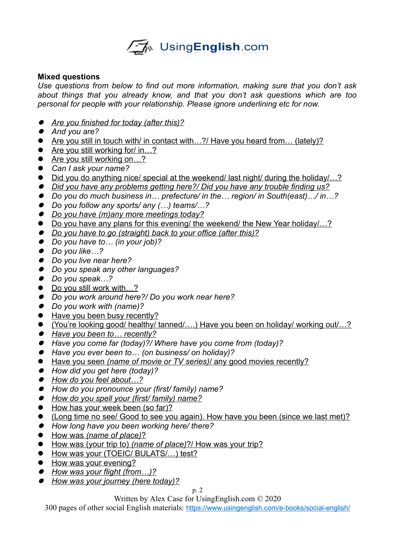

## **Mixed questions**

*Use questions from below to find out more information, making sure that you don't ask about things that you already know, and that you don't ask questions which are too personal for people with your relationship. Please ignore underlining etc for now.* 

- *Are you finished for today (after this)?*
- *And you are?*
- Are you still in touch with/ in contact with...?/ Have you heard from... (lately)?
- Are you still working for/ in…?
- Are you still working on...?
- *Can I ask your name?*
- Did you do anything nice/ special at the weekend/ last night/ during the holiday/...?
- *Did you have any problems getting here?/ Did you have any trouble finding us?*
- *Do you do much business in… prefecture/ in the… region/ in South(east)…/ in…?*
- *Do you follow any sports/ any (…) teams/…?*
- *Do you have (m)any more meetings today?*
- Do you have any plans for this evening/ the weekend/ the New Year holiday/...?
- *Do you have to go (straight) back to your office (after this)?*
- *Do you have to… (in your job)?*
- *Do you like…?*
- *Do you live near here?*
- *Do you speak any other languages?*
- *Do you speak…?*
- Do you still work with...?
- *Do you work around here?/ Do you work near here?*
- *Do you work with (name)?*
- Have you been busy recently?
- (You're looking good/ healthy/ tanned/….) Have you been on holiday/ working out/…?
- Have you been to ... recently?
- *Have you come far (today)?/ Where have you come from (today)?*
- *Have you ever been to… (on business/ on holiday)?*
- Have you seen *(name of movie or TV series)* / any good movies recently?
- *How did you get here (today)?*
- How do you feel about...?
- *How do you pronounce your (first/ family) name?*
- *How do you spell your (first/ family) name?*
- How has your week been (so far)?
- (Long time no see/ Good to see you again). How have you been (since we last met)?
- *How long have you been working here/ there?*
- $\bullet$  How was *(name of place)*?
- How was (your trip to) *(name of place)* ?/ How was your trip?
- How was your (TOEIC/ BULATS/...) test?
- How was your evening?
- How was your flight (from...)?
- *How was your journey (here today)?*

p. 2

Written by Alex Case for UsingEnglish.com © 2020

300 pages of other social English materials: <https://www.usingenglish.com/e-books/social-english/>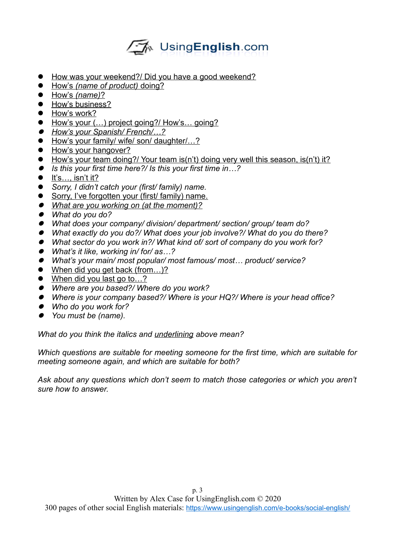# √A UsingEnglish.com

- How was your weekend?/ Did you have a good weekend?
- How's *(name of product)* doing?
- How's *(name)*?
- How's business?
- **•** How's work?
- How's your (...) project going?/ How's... going?
- *How's your Spanish/ French/…?*
- How's your family/ wife/ son/ daughter/...?
- How's your hangover?
- How's your team doing?/ Your team is(n't) doing very well this season, is(n't) it?
- *Is this your first time here?/ Is this your first time in…?*
- $\bullet$  It's..., isn't it?
- *Sorry, I didn't catch your (first/ family) name.*
- Sorry, I've forgotten your (first/ family) name.
- *What are you working on (at the moment)?*
- *What do you do?*
- *What does your company/ division/ department/ section/ group/ team do?*
- *What exactly do you do?/ What does your job involve?/ What do you do there?*
- *What sector do you work in?/ What kind of/ sort of company do you work for?*
- *What's it like, working in/ for/ as…?*
- *What's your main/ most popular/ most famous/ most… product/ service?*
- When did you get back (from...)?
- When did you last go to...?
- *Where are you based?/ Where do you work?*
- *Where is your company based?/ Where is your HQ?/ Where is your head office?*
- *Who do you work for?*
- *You must be (name).*

*What do you think the italics and underlining above mean?* 

*Which questions are suitable for meeting someone for the first time, which are suitable for meeting someone again, and which are suitable for both?*

*Ask about any questions which don't seem to match those categories or which you aren't sure how to answer.*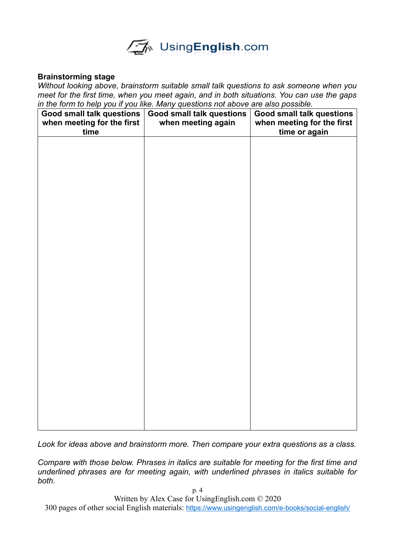

#### **Brainstorming stage**

*Without looking above, brainstorm suitable small talk questions to ask someone when you meet for the first time, when you meet again, and in both situations. You can use the gaps in the form to help you if you like. Many questions not above are also possible.*

| <b>Good small talk questions</b><br>when meeting for the first<br>time | <b>Good small talk questions</b><br>when meeting again | <b>Good small talk questions</b><br>when meeting for the first<br>time or again |
|------------------------------------------------------------------------|--------------------------------------------------------|---------------------------------------------------------------------------------|
|                                                                        |                                                        |                                                                                 |
|                                                                        |                                                        |                                                                                 |
|                                                                        |                                                        |                                                                                 |
|                                                                        |                                                        |                                                                                 |
|                                                                        |                                                        |                                                                                 |
|                                                                        |                                                        |                                                                                 |
|                                                                        |                                                        |                                                                                 |
|                                                                        |                                                        |                                                                                 |
|                                                                        |                                                        |                                                                                 |
|                                                                        |                                                        |                                                                                 |
|                                                                        |                                                        |                                                                                 |

*Look for ideas above and brainstorm more. Then compare your extra questions as a class.*

*Compare with those below. Phrases in italics are suitable for meeting for the first time and underlined phrases are for meeting again, with underlined phrases in italics suitable for both.*

Written by Alex Case for UsingEnglish.com © 2020

300 pages of other social English materials: <https://www.usingenglish.com/e-books/social-english/>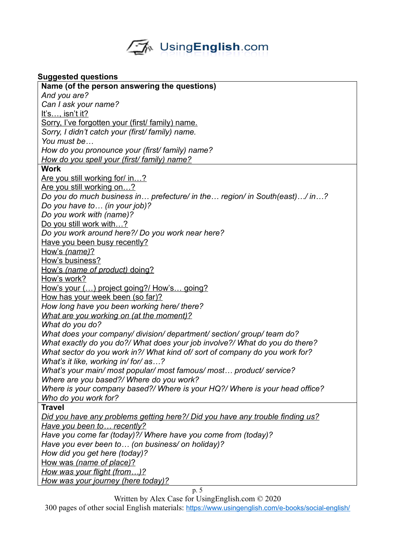

# **Suggested questions**

| <b>Suggested questions</b>                                                    |  |  |
|-------------------------------------------------------------------------------|--|--|
| Name (of the person answering the questions)                                  |  |  |
| And you are?                                                                  |  |  |
| Can I ask your name?                                                          |  |  |
| It's, isn't it?                                                               |  |  |
| Sorry, I've forgotten your (first/ family) name.                              |  |  |
| Sorry, I didn't catch your (first/ family) name.                              |  |  |
| You must be                                                                   |  |  |
| How do you pronounce your (first/family) name?                                |  |  |
| How do you spell your (first/ family) name?                                   |  |  |
| <b>Work</b>                                                                   |  |  |
| Are you still working for/ in?                                                |  |  |
| Are you still working on?                                                     |  |  |
| Do you do much business in prefecture/ in the region/ in South(east)/ in?     |  |  |
| Do you have to (in your job)?                                                 |  |  |
| Do you work with (name)?                                                      |  |  |
| Do you still work with?                                                       |  |  |
| Do you work around here?/ Do you work near here?                              |  |  |
| Have you been busy recently?                                                  |  |  |
| How's (name)?                                                                 |  |  |
| How's business?                                                               |  |  |
| How's (name of product) doing?                                                |  |  |
| How's work?                                                                   |  |  |
| How's your () project going?/ How's going?                                    |  |  |
| How has your week been (so far)?                                              |  |  |
| How long have you been working here/ there?                                   |  |  |
| What are you working on (at the moment)?                                      |  |  |
| What do you do?                                                               |  |  |
| What does your company/ division/ department/ section/ group/ team do?        |  |  |
| What exactly do you do?/ What does your job involve?/ What do you do there?   |  |  |
| What sector do you work in?/ What kind of/ sort of company do you work for?   |  |  |
| What's it like, working in/for/as?                                            |  |  |
| What's your main/ most popular/ most famous/ most product/ service?           |  |  |
| Where are you based?/ Where do you work?                                      |  |  |
| Where is your company based?/ Where is your HQ?/ Where is your head office?   |  |  |
| Who do you work for?                                                          |  |  |
| <b>Travel</b>                                                                 |  |  |
| Did you have any problems getting here?/ Did you have any trouble finding us? |  |  |
| Have you been to recently?                                                    |  |  |
| Have you come far (today)?/ Where have you come from (today)?                 |  |  |
| Have you ever been to (on business/ on holiday)?                              |  |  |
| How did you get here (today)?                                                 |  |  |
| How was (name of place)?                                                      |  |  |
| How was your flight (from)?                                                   |  |  |
| How was your journey (here today)?                                            |  |  |
| p. 5                                                                          |  |  |

Written by Alex Case for UsingEnglish.com © 2020

300 pages of other social English materials: <https://www.usingenglish.com/e-books/social-english/>